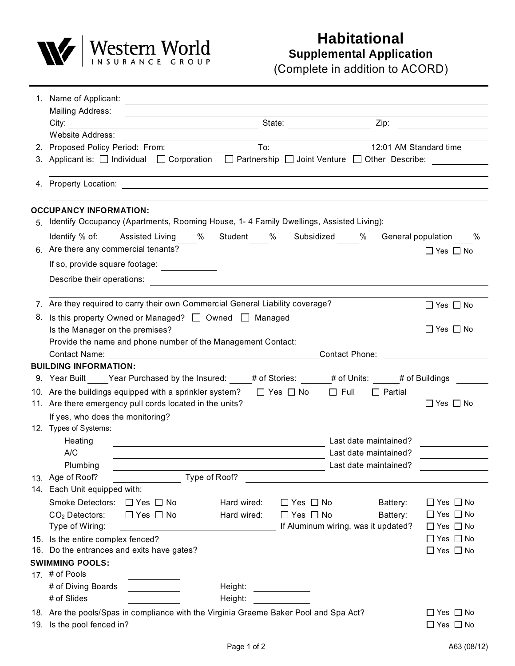

## **Habitational Supplemental Application**

(Complete in addition to ACORD)

|    | 1. Name of Applicant: <u>contract and a series of Applicants</u>                                                                                                                                                               |             |                                |                                     |                                              |  |  |
|----|--------------------------------------------------------------------------------------------------------------------------------------------------------------------------------------------------------------------------------|-------------|--------------------------------|-------------------------------------|----------------------------------------------|--|--|
|    | Mailing Address:<br><u> 1989 - Johann Stein, mars an de Brazilia (b. 1989)</u>                                                                                                                                                 |             |                                |                                     |                                              |  |  |
|    |                                                                                                                                                                                                                                |             |                                |                                     |                                              |  |  |
|    | Website Address:                                                                                                                                                                                                               |             |                                |                                     |                                              |  |  |
|    |                                                                                                                                                                                                                                |             |                                |                                     |                                              |  |  |
|    | 3. Applicant is: □ Individual □ Corporation □ Partnership □ Joint Venture □ Other Describe:                                                                                                                                    |             |                                |                                     |                                              |  |  |
|    | 4. Property Location: 2002. The contract of the contract of the contract of the contract of the contract of the contract of the contract of the contract of the contract of the contract of the contract of the contract of th |             |                                |                                     |                                              |  |  |
|    | <b>OCCUPANCY INFORMATION:</b>                                                                                                                                                                                                  |             |                                |                                     |                                              |  |  |
|    | 5. Identify Occupancy (Apartments, Rooming House, 1-4 Family Dwellings, Assisted Living):                                                                                                                                      |             |                                |                                     |                                              |  |  |
|    |                                                                                                                                                                                                                                |             |                                |                                     |                                              |  |  |
|    | Identify % of: Assisted Living % Student % Subsidized % General population<br>6. Are there any commercial tenants?                                                                                                             |             |                                |                                     | $\%$<br>$\Box$ Yes $\Box$ No                 |  |  |
|    | If so, provide square footage:                                                                                                                                                                                                 |             |                                |                                     |                                              |  |  |
|    | Describe their operations:<br><u> 1989 - John Stein, Amerikaansk politiker (</u>                                                                                                                                               |             |                                |                                     |                                              |  |  |
|    | 7. Are they required to carry their own Commercial General Liability coverage?                                                                                                                                                 |             |                                |                                     | $\Box$ Yes $\Box$ No                         |  |  |
| 8. | Is this property Owned or Managed? $\Box$ Owned $\Box$ Managed<br>Is the Manager on the premises?                                                                                                                              |             |                                |                                     | $\Box$ Yes $\Box$ No                         |  |  |
|    | Provide the name and phone number of the Management Contact:                                                                                                                                                                   |             |                                |                                     |                                              |  |  |
|    |                                                                                                                                                                                                                                |             |                                |                                     |                                              |  |  |
|    | <b>BUILDING INFORMATION:</b>                                                                                                                                                                                                   |             |                                |                                     |                                              |  |  |
|    | 9. Year Built Year Purchased by the Insured: # of Stories: # of Units: # of Buildings                                                                                                                                          |             |                                |                                     |                                              |  |  |
|    | 10. Are the buildings equipped with a sprinkler system? $\Box$ Yes $\Box$ No $\Box$ Full<br>$\Box$ Partial                                                                                                                     |             |                                |                                     |                                              |  |  |
|    | 11. Are there emergency pull cords located in the units?                                                                                                                                                                       |             |                                |                                     | $\Box$ Yes $\Box$ No                         |  |  |
|    | If yes, who does the monitoring? The contract of the contract of the contract of the contract of the contract of the contract of the contract of the contract of the contract of the contract of the contract of the contract  |             |                                |                                     |                                              |  |  |
|    | 12. Types of Systems:                                                                                                                                                                                                          |             |                                |                                     |                                              |  |  |
|    | Heating                                                                                                                                                                                                                        |             |                                | Last date maintained?               |                                              |  |  |
|    | A/C<br><u> 1989 - Johann Stoff, deutscher Stoffen und der Stoffen und der Stoffen und der Stoffen und der Stoffen und der</u>                                                                                                  |             |                                | Last date maintained?               |                                              |  |  |
|    | Plumbing                                                                                                                                                                                                                       |             |                                | Last date maintained?               |                                              |  |  |
|    | Type of Roof?<br>13. Age of Roof?                                                                                                                                                                                              |             |                                |                                     |                                              |  |  |
|    | 14. Each Unit equipped with:                                                                                                                                                                                                   |             |                                |                                     |                                              |  |  |
|    | Smoke Detectors: □ Yes □ No                                                                                                                                                                                                    | Hard wired: | $\Box$ Yes $\Box$ No           | Battery:                            | $\Box$ Yes $\Box$ No                         |  |  |
|    | $CO2$ Detectors:<br>$\Box$ Yes $\Box$ No                                                                                                                                                                                       | Hard wired: | $\Box$ Yes $\Box$ No           | Battery:                            | $\Box$ Yes $\Box$ No                         |  |  |
|    | Type of Wiring:                                                                                                                                                                                                                |             |                                | If Aluminum wiring, was it updated? | $\Box$ Yes $\Box$ No                         |  |  |
|    | 15. Is the entire complex fenced?<br>16. Do the entrances and exits have gates?                                                                                                                                                |             |                                |                                     | $\Box$ Yes $\Box$ No                         |  |  |
|    |                                                                                                                                                                                                                                |             |                                |                                     | $\Box$ Yes $\Box$ No                         |  |  |
|    | <b>SWIMMING POOLS:</b><br>17. # of Pools                                                                                                                                                                                       |             |                                |                                     |                                              |  |  |
|    | # of Diving Boards                                                                                                                                                                                                             | Height:     |                                |                                     |                                              |  |  |
|    | # of Slides                                                                                                                                                                                                                    | Height:     |                                |                                     |                                              |  |  |
|    |                                                                                                                                                                                                                                |             | <u>and a strategic product</u> |                                     |                                              |  |  |
|    | 18. Are the pools/Spas in compliance with the Virginia Graeme Baker Pool and Spa Act?<br>19. Is the pool fenced in?                                                                                                            |             |                                |                                     | $\Box$ Yes $\Box$ No<br>$\Box$ Yes $\Box$ No |  |  |
|    |                                                                                                                                                                                                                                |             |                                |                                     |                                              |  |  |